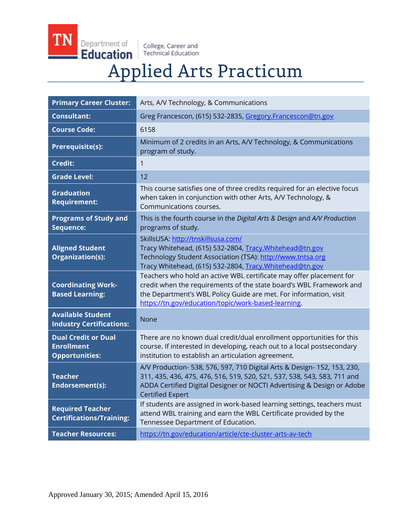Department of Education

TN

College, Career and<br>Technical Education

# **Applied Arts Practicum**

| <b>Primary Career Cluster:</b>                                           | Arts, A/V Technology, & Communications                                                                                                                                                                                                                                 |
|--------------------------------------------------------------------------|------------------------------------------------------------------------------------------------------------------------------------------------------------------------------------------------------------------------------------------------------------------------|
| <b>Consultant:</b>                                                       | Greg Francescon, (615) 532-2835, Gregory.Francescon@tn.gov                                                                                                                                                                                                             |
| <b>Course Code:</b>                                                      | 6158                                                                                                                                                                                                                                                                   |
| <b>Prerequisite(s):</b>                                                  | Minimum of 2 credits in an Arts, A/V Technology, & Communications<br>program of study.                                                                                                                                                                                 |
| <b>Credit:</b>                                                           | 1                                                                                                                                                                                                                                                                      |
| <b>Grade Level:</b>                                                      | 12                                                                                                                                                                                                                                                                     |
| <b>Graduation</b><br><b>Requirement:</b>                                 | This course satisfies one of three credits required for an elective focus<br>when taken in conjunction with other Arts, A/V Technology, &<br>Communications courses.                                                                                                   |
| <b>Programs of Study and</b><br>Sequence:                                | This is the fourth course in the Digital Arts & Design and A/V Production<br>programs of study.                                                                                                                                                                        |
| <b>Aligned Student</b><br>Organization(s):                               | SkillsUSA: http://tnskillsusa.com/<br>Tracy Whitehead, (615) 532-2804, Tracy. Whitehead@tn.gov<br>Technology Student Association (TSA): http://www.tntsa.org<br>Tracy Whitehead, (615) 532-2804, Tracy.Whitehead@tn.gov                                                |
| <b>Coordinating Work-</b><br><b>Based Learning:</b>                      | Teachers who hold an active WBL certificate may offer placement for<br>credit when the requirements of the state board's WBL Framework and<br>the Department's WBL Policy Guide are met. For information, visit<br>https://tn.gov/education/topic/work-based-learning. |
| <b>Available Student</b><br><b>Industry Certifications:</b>              | None                                                                                                                                                                                                                                                                   |
| <b>Dual Credit or Dual</b><br><b>Enrollment</b><br><b>Opportunities:</b> | There are no known dual credit/dual enrollment opportunities for this<br>course. If interested in developing, reach out to a local postsecondary<br>institution to establish an articulation agreement.                                                                |
| <b>Teacher</b><br>Endorsement(s):                                        | A/V Production- 538, 576, 597, 710 Digital Arts & Design- 152, 153, 230,<br>311, 435, 436, 475, 476, 516, 519, 520, 521, 537, 538, 543, 583, 711 and<br>ADDA Certified Digital Designer or NOCTI Advertising & Design or Adobe<br><b>Certified Expert</b>              |
| <b>Required Teacher</b><br><b>Certifications/Training:</b>               | If students are assigned in work-based learning settings, teachers must<br>attend WBL training and earn the WBL Certificate provided by the<br>Tennessee Department of Education.                                                                                      |
| <b>Teacher Resources:</b>                                                | https://tn.gov/education/article/cte-cluster-arts-av-tech                                                                                                                                                                                                              |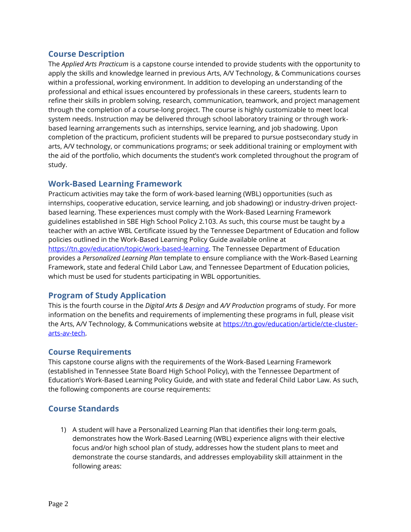# **Course Description**

The *Applied Arts Practicum* is a capstone course intended to provide students with the opportunity to apply the skills and knowledge learned in previous Arts, A/V Technology, & Communications courses within a professional, working environment. In addition to developing an understanding of the professional and ethical issues encountered by professionals in these careers, students learn to refine their skills in problem solving, research, communication, teamwork, and project management through the completion of a course-long project. The course is highly customizable to meet local system needs. Instruction may be delivered through school laboratory training or through workbased learning arrangements such as internships, service learning, and job shadowing. Upon completion of the practicum, proficient students will be prepared to pursue postsecondary study in arts, A/V technology, or communications programs; or seek additional training or employment with the aid of the portfolio, which documents the student's work completed throughout the program of study.

# **Work-Based Learning Framework**

Practicum activities may take the form of work-based learning (WBL) opportunities (such as internships, cooperative education, service learning, and job shadowing) or industry-driven projectbased learning. These experiences must comply with the Work-Based Learning Framework guidelines established in SBE High School Policy 2.103. As such, this course must be taught by a teacher with an active WBL Certificate issued by the Tennessee Department of Education and follow policies outlined in the Work-Based Learning Policy Guide available online at [https://tn.gov/education/topic/work-based-learning.](https://tn.gov/education/topic/work-based-learning) The Tennessee Department of Education provides a *Personalized Learning Plan* template to ensure compliance with the Work-Based Learning Framework, state and federal Child Labor Law, and Tennessee Department of Education policies, which must be used for students participating in WBL opportunities.

# **Program of Study Application**

This is the fourth course in the *Digital Arts & Design* and *A/V Production* programs of study. For more information on the benefits and requirements of implementing these programs in full, please visit the Arts, A/V Technology, & Communications website at [https://tn.gov/education/article/cte-cluster](https://tn.gov/education/article/cte-cluster-arts-av-tech)[arts-av-tech.](https://tn.gov/education/article/cte-cluster-arts-av-tech)

# **Course Requirements**

This capstone course aligns with the requirements of the Work-Based Learning Framework (established in Tennessee State Board High School Policy), with the Tennessee Department of Education's Work-Based Learning Policy Guide, and with state and federal Child Labor Law. As such, the following components are course requirements:

# **Course Standards**

1) A student will have a Personalized Learning Plan that identifies their long-term goals, demonstrates how the Work-Based Learning (WBL) experience aligns with their elective focus and/or high school plan of study, addresses how the student plans to meet and demonstrate the course standards, and addresses employability skill attainment in the following areas: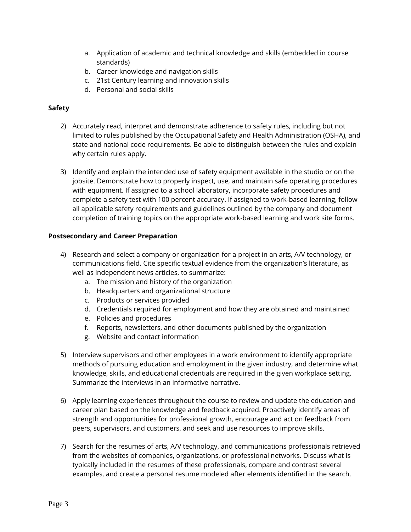- a. Application of academic and technical knowledge and skills (embedded in course standards)
- b. Career knowledge and navigation skills
- c. 21st Century learning and innovation skills
- d. Personal and social skills

#### **Safety**

- 2) Accurately read, interpret and demonstrate adherence to safety rules, including but not limited to rules published by the Occupational Safety and Health Administration (OSHA), and state and national code requirements. Be able to distinguish between the rules and explain why certain rules apply.
- 3) Identify and explain the intended use of safety equipment available in the studio or on the jobsite. Demonstrate how to properly inspect, use, and maintain safe operating procedures with equipment. If assigned to a school laboratory, incorporate safety procedures and complete a safety test with 100 percent accuracy. If assigned to work-based learning, follow all applicable safety requirements and guidelines outlined by the company and document completion of training topics on the appropriate work-based learning and work site forms.

#### **Postsecondary and Career Preparation**

- 4) Research and select a company or organization for a project in an arts, A/V technology, or communications field. Cite specific textual evidence from the organization's literature, as well as independent news articles, to summarize:
	- a. The mission and history of the organization
	- b. Headquarters and organizational structure
	- c. Products or services provided
	- d. Credentials required for employment and how they are obtained and maintained
	- e. Policies and procedures
	- f. Reports, newsletters, and other documents published by the organization
	- g. Website and contact information
- 5) Interview supervisors and other employees in a work environment to identify appropriate methods of pursuing education and employment in the given industry, and determine what knowledge, skills, and educational credentials are required in the given workplace setting. Summarize the interviews in an informative narrative.
- 6) Apply learning experiences throughout the course to review and update the education and career plan based on the knowledge and feedback acquired. Proactively identify areas of strength and opportunities for professional growth, encourage and act on feedback from peers, supervisors, and customers, and seek and use resources to improve skills.
- 7) Search for the resumes of arts, A/V technology, and communications professionals retrieved from the websites of companies, organizations, or professional networks. Discuss what is typically included in the resumes of these professionals, compare and contrast several examples, and create a personal resume modeled after elements identified in the search.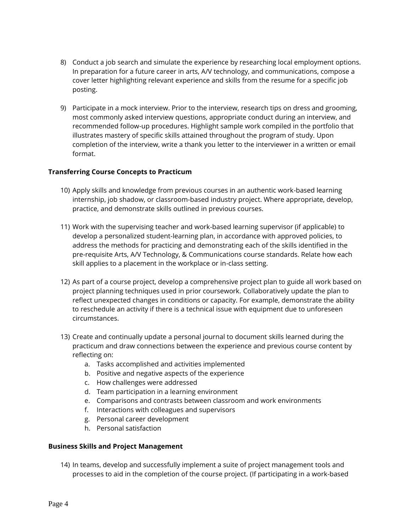- 8) Conduct a job search and simulate the experience by researching local employment options. In preparation for a future career in arts, A/V technology, and communications, compose a cover letter highlighting relevant experience and skills from the resume for a specific job posting.
- 9) Participate in a mock interview. Prior to the interview, research tips on dress and grooming, most commonly asked interview questions, appropriate conduct during an interview, and recommended follow-up procedures. Highlight sample work compiled in the portfolio that illustrates mastery of specific skills attained throughout the program of study. Upon completion of the interview, write a thank you letter to the interviewer in a written or email format.

#### **Transferring Course Concepts to Practicum**

- 10) Apply skills and knowledge from previous courses in an authentic work-based learning internship, job shadow, or classroom-based industry project. Where appropriate, develop, practice, and demonstrate skills outlined in previous courses.
- 11) Work with the supervising teacher and work-based learning supervisor (if applicable) to develop a personalized student-learning plan, in accordance with approved policies, to address the methods for practicing and demonstrating each of the skills identified in the pre-requisite Arts, A/V Technology, & Communications course standards. Relate how each skill applies to a placement in the workplace or in-class setting.
- 12) As part of a course project, develop a comprehensive project plan to guide all work based on project planning techniques used in prior coursework. Collaboratively update the plan to reflect unexpected changes in conditions or capacity. For example, demonstrate the ability to reschedule an activity if there is a technical issue with equipment due to unforeseen circumstances.
- 13) Create and continually update a personal journal to document skills learned during the practicum and draw connections between the experience and previous course content by reflecting on:
	- a. Tasks accomplished and activities implemented
	- b. Positive and negative aspects of the experience
	- c. How challenges were addressed
	- d. Team participation in a learning environment
	- e. Comparisons and contrasts between classroom and work environments
	- f. Interactions with colleagues and supervisors
	- g. Personal career development
	- h. Personal satisfaction

#### **Business Skills and Project Management**

14) In teams, develop and successfully implement a suite of project management tools and processes to aid in the completion of the course project. (If participating in a work-based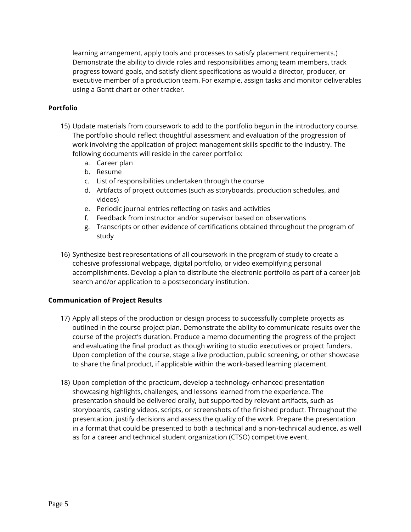learning arrangement, apply tools and processes to satisfy placement requirements.) Demonstrate the ability to divide roles and responsibilities among team members, track progress toward goals, and satisfy client specifications as would a director, producer, or executive member of a production team. For example, assign tasks and monitor deliverables using a Gantt chart or other tracker.

#### **Portfolio**

- 15) Update materials from coursework to add to the portfolio begun in the introductory course. The portfolio should reflect thoughtful assessment and evaluation of the progression of work involving the application of project management skills specific to the industry. The following documents will reside in the career portfolio:
	- a. Career plan
	- b. Resume
	- c. List of responsibilities undertaken through the course
	- d. Artifacts of project outcomes (such as storyboards, production schedules, and videos)
	- e. Periodic journal entries reflecting on tasks and activities
	- f. Feedback from instructor and/or supervisor based on observations
	- g. Transcripts or other evidence of certifications obtained throughout the program of study
- 16) Synthesize best representations of all coursework in the program of study to create a cohesive professional webpage, digital portfolio, or video exemplifying personal accomplishments. Develop a plan to distribute the electronic portfolio as part of a career job search and/or application to a postsecondary institution.

#### **Communication of Project Results**

- 17) Apply all steps of the production or design process to successfully complete projects as outlined in the course project plan. Demonstrate the ability to communicate results over the course of the project's duration. Produce a memo documenting the progress of the project and evaluating the final product as though writing to studio executives or project funders. Upon completion of the course, stage a live production, public screening, or other showcase to share the final product, if applicable within the work-based learning placement.
- 18) Upon completion of the practicum, develop a technology-enhanced presentation showcasing highlights, challenges, and lessons learned from the experience. The presentation should be delivered orally, but supported by relevant artifacts, such as storyboards, casting videos, scripts, or screenshots of the finished product. Throughout the presentation, justify decisions and assess the quality of the work. Prepare the presentation in a format that could be presented to both a technical and a non-technical audience, as well as for a career and technical student organization (CTSO) competitive event.